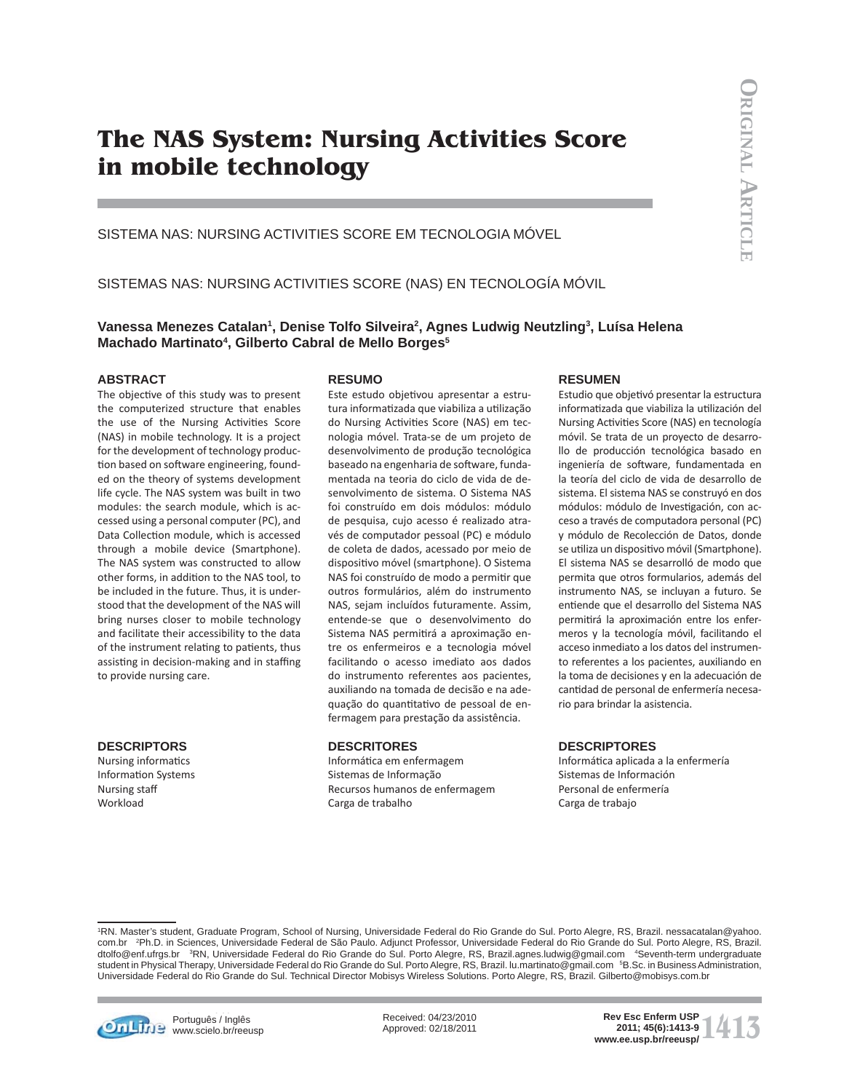# **The NAS System: Nursing Activities Score in mobile technology**

SISTEMA NAS: NURSING ACTIVITIES SCORE EM TECNOLOGIA MÓVEL

SISTEMAS NAS: NURSING ACTIVITIES SCORE (NAS) EN TECNOLOGÍA MÓVIL

**Vanessa Menezes Catalan1 , Denise Tolfo Silveira2 , Agnes Ludwig Neutzling3 , Luísa Helena Machado Martinato4 , Gilberto Cabral de Mello Borges5**

## **ABSTRACT**

The objective of this study was to present the computerized structure that enables the use of the Nursing Activities Score (NAS) in mobile technology. It is a project for the development of technology production based on software engineering, founded on the theory of systems development life cycle. The NAS system was built in two modules: the search module, which is accessed using a personal computer (PC), and Data Collection module, which is accessed through a mobile device (Smartphone). The NAS system was constructed to allow other forms, in addition to the NAS tool, to be included in the future. Thus, it is understood that the development of the NAS will bring nurses closer to mobile technology and facilitate their accessibility to the data of the instrument relating to patients, thus assisting in decision-making and in staffing to provide nursing care.

## **DESCRIPTORS**

Nursing informatics Information Systems Nursing staff **Workload** 

#### **RESUMO**

Este estudo objetivou apresentar a estrutura informatizada que viabiliza a utilização do Nursing Activities Score (NAS) em tecnologia móvel. Trata-se de um projeto de desenvolvimento de produção tecnológica baseado na engenharia de software, fundamentada na teoria do ciclo de vida de desenvolvimento de sistema. O Sistema NAS foi construído em dois módulos: módulo de pesquisa, cujo acesso é realizado através de computador pessoal (PC) e módulo de coleta de dados, acessado por meio de dispositivo móvel (smartphone). O Sistema NAS foi construído de modo a permitir que outros formulários, além do instrumento NAS, sejam incluídos futuramente. Assim, entende-se que o desenvolvimento do Sistema NAS permitirá a aproximação entre os enfermeiros e a tecnologia móvel facilitando o acesso imediato aos dados do instrumento referentes aos pacientes, auxiliando na tomada de decisão e na adequação do quantitativo de pessoal de enfermagem para prestação da assistência.

### **DESCRITORES**

Informática em enfermagem Sistemas de Informação Recursos humanos de enfermagem Carga de trabalho

## **RESUMEN**

Estudio que objetivó presentar la estructura informatizada que viabiliza la utilización del Nursing Activities Score (NAS) en tecnología móvil. Se trata de un proyecto de desarrollo de producción tecnológica basado en ingeniería de software, fundamentada en la teoría del ciclo de vida de desarrollo de sistema. El sistema NAS se construyó en dos módulos: módulo de Investigación, con acceso a través de computadora personal (PC) y módulo de Recolección de Datos, donde se utiliza un dispositivo móvil (Smartphone). El sistema NAS se desarrolló de modo que permita que otros formularios, además del instrumento NAS, se incluyan a futuro. Se entiende que el desarrollo del Sistema NAS permitirá la aproximación entre los enfermeros y la tecnología móvil, facilitando el acceso inmediato a los datos del instrumento referentes a los pacientes, auxiliando en la toma de decisiones y en la adecuación de cantidad de personal de enfermería necesario para brindar la asistencia.

## **DESCRIPTORES**

Informática aplicada a la enfermería Sistemas de Información Personal de enfermería Carga de trabajo

1 RN. Master's student, Graduate Program, School of Nursing, Universidade Federal do Rio Grande do Sul. Porto Alegre, RS, Brazil. nessacatalan@yahoo. com.br 2 Ph.D. in Sciences, Universidade Federal de São Paulo. Adjunct Professor, Universidade Federal do Rio Grande do Sul. Porto Alegre, RS, Brazil. dtolfo@enf.ufrgs.br <sup>3</sup>RN, Universidade Federal do Rio Grande do Sul. Porto Alegre, RS, Brazil.agnes.ludwig@gmail.com <sup>4</sup>Seventh-term undergraduate student in Physical Therapy, Universidade Federal do Rio Grande do Sul. Porto Alegre, RS, Brazil. lu.martinato@gmail.com 5B.Sc. in Business Administration, Universidade Federal do Rio Grande do Sul. Technical Director Mobisys Wireless Solutions. Porto Alegre, RS, Brazil. Gilberto@mobisys.com.br



**Português / Inglês** www.scielo.br/reeusp Received: 04/23/2010 Approved: 02/18/2011

**1413 Rev Esc Enferm USP**<br> **1413-9**<br> **1413-9**<br> **1413-9**<br> **1413-9**<br> **1413-9 2011; 45(6):1413-9**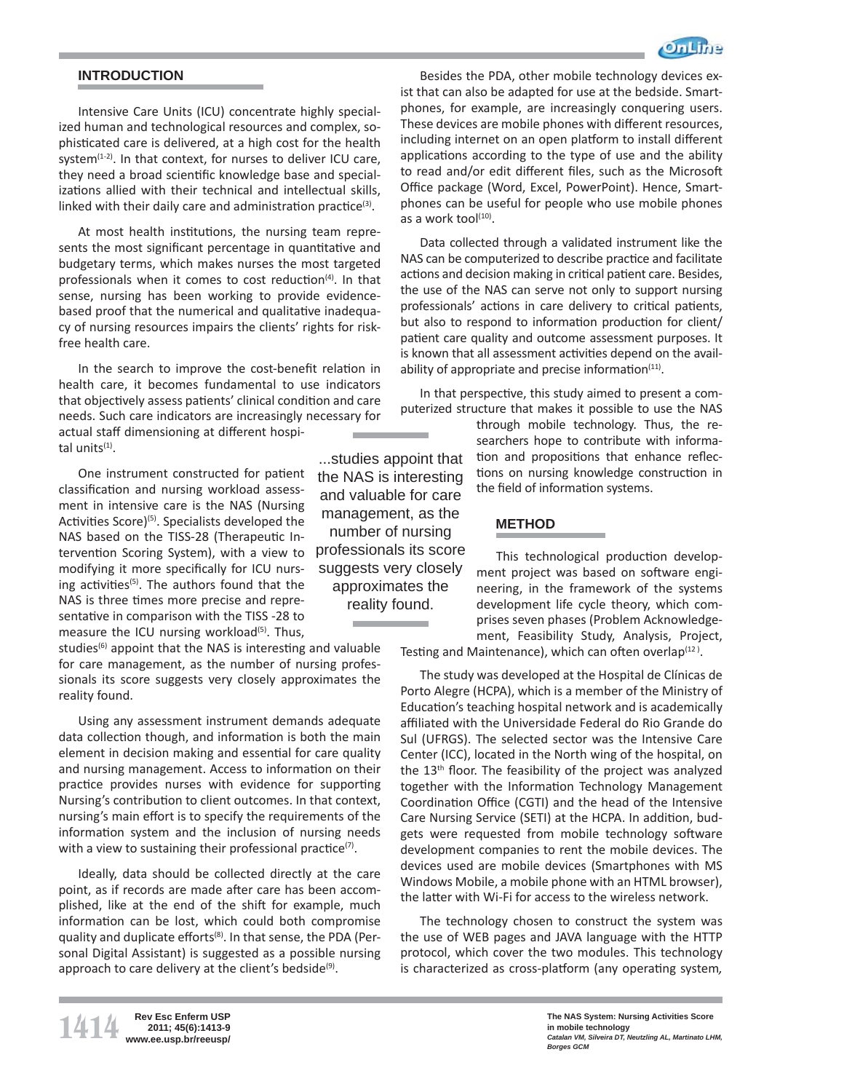

# **INTRODUCTION**

Intensive Care Units (ICU) concentrate highly specialized human and technological resources and complex, sophisticated care is delivered, at a high cost for the health system $(1-2)$ . In that context, for nurses to deliver ICU care, they need a broad scientific knowledge base and specializations allied with their technical and intellectual skills, linked with their daily care and administration practice $(3)$ .

At most health institutions, the nursing team represents the most significant percentage in quantitative and budgetary terms, which makes nurses the most targeted professionals when it comes to cost reduction $(4)$ . In that sense, nursing has been working to provide evidencebased proof that the numerical and qualitative inadequacy of nursing resources impairs the clients' rights for riskfree health care.

In the search to improve the cost-benefit relation in health care, it becomes fundamental to use indicators that objectively assess patients' clinical condition and care needs. Such care indicators are increasingly necessary for actual staff dimensioning at different hospital units $(1)$ .

One instrument constructed for patient classification and nursing workload assessment in intensive care is the NAS (Nursing Activities Score)<sup>(5)</sup>. Specialists developed the NAS based on the TISS-28 (Therapeutic Intervention Scoring System), with a view to modifying it more specifically for ICU nursing activities<sup>(5)</sup>. The authors found that the NAS is three times more precise and representative in comparison with the TISS -28 to measure the ICU nursing workload $(5)$ . Thus,

studies<sup>(6)</sup> appoint that the NAS is interesting and valuable for care management, as the number of nursing professionals its score suggests very closely approximates the reality found.

Using any assessment instrument demands adequate data collection though, and information is both the main element in decision making and essential for care quality and nursing management. Access to information on their practice provides nurses with evidence for supporting Nursing's contribution to client outcomes. In that context, nursing's main effort is to specify the requirements of the information system and the inclusion of nursing needs with a view to sustaining their professional practice<sup>(7)</sup>.

Ideally, data should be collected directly at the care point, as if records are made after care has been accomplished, like at the end of the shift for example, much information can be lost, which could both compromise quality and duplicate efforts<sup>(8)</sup>. In that sense, the PDA (Personal Digital Assistant) is suggested as a possible nursing approach to care delivery at the client's bedside<sup>(9)</sup>.

**1414 Rev Esc Enferm USP www.ee.usp.br/reeusp/**

**2011; 45(6):1413-9**

Besides the PDA, other mobile technology devices exist that can also be adapted for use at the bedside. Smartphones, for example, are increasingly conquering users. These devices are mobile phones with different resources. including internet on an open platform to install different applications according to the type of use and the ability to read and/or edit different files, such as the Microsoft Office package (Word, Excel, PowerPoint). Hence, Smartphones can be useful for people who use mobile phones as a work tool $(10)$ .

Data collected through a validated instrument like the NAS can be computerized to describe practice and facilitate actions and decision making in critical patient care. Besides, the use of the NAS can serve not only to support nursing professionals' actions in care delivery to critical patients, but also to respond to information production for client/ patient care quality and outcome assessment purposes. It is known that all assessment activities depend on the availability of appropriate and precise information<sup>(11)</sup>.

In that perspective, this study aimed to present a computerized structure that makes it possible to use the NAS

> through mobile technology. Thus, the researchers hope to contribute with information and propositions that enhance reflections on nursing knowledge construction in the field of information systems.

## **METHOD**

...studies appoint that the NAS is interesting and valuable for care management, as the number of nursing professionals its score suggests very closely approximates the reality found.

This technological production development project was based on software engineering, in the framework of the systems development life cycle theory, which comprises seven phases (Problem Acknowledgement, Feasibility Study, Analysis, Project,

Testing and Maintenance), which can often overlap $(12)$ .

The study was developed at the Hospital de Clínicas de Porto Alegre (HCPA), which is a member of the Ministry of Education's teaching hospital network and is academically affiliated with the Universidade Federal do Rio Grande do Sul (UFRGS). The selected sector was the Intensive Care Center (ICC), located in the North wing of the hospital, on the  $13<sup>th</sup>$  floor. The feasibility of the project was analyzed together with the Information Technology Management Coordination Office (CGTI) and the head of the Intensive Care Nursing Service (SETI) at the HCPA. In addition, budgets were requested from mobile technology software development companies to rent the mobile devices. The devices used are mobile devices (Smartphones with MS Windows Mobile, a mobile phone with an HTML browser), the latter with Wi-Fi for access to the wireless network.

The technology chosen to construct the system was the use of WEB pages and JAVA language with the HTTP protocol, which cover the two modules. This technology is characterized as cross-platform (any operating system,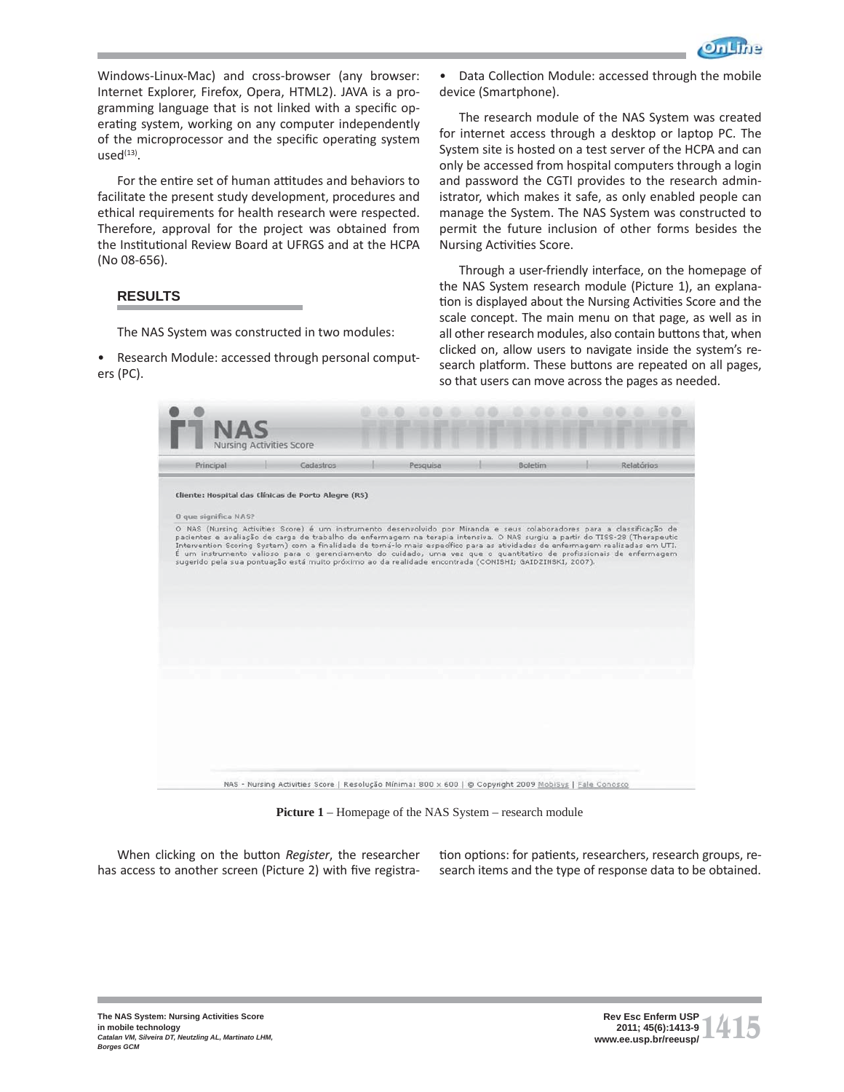

Windows-Linux-Mac) and cross-browser (any browser: Internet Explorer, Firefox, Opera, HTML2). JAVA is a programming language that is not linked with a specific operating system, working on any computer independently of the microprocessor and the specific operating system  $used<sup>(13)</sup>$ .

For the entire set of human attitudes and behaviors to facilitate the present study development, procedures and ethical requirements for health research were respected. Therefore, approval for the project was obtained from the Institutional Review Board at UFRGS and at the HCPA (No 08-656).

# **RESULTS**

The NAS System was constructed in two modules:

• Research Module: accessed through personal computers (PC).

Data Collection Module: accessed through the mobile device (Smartphone).

The research module of the NAS System was created for internet access through a desktop or laptop PC. The System site is hosted on a test server of the HCPA and can only be accessed from hospital computers through a login and password the CGTI provides to the research administrator, which makes it safe, as only enabled people can manage the System. The NAS System was constructed to permit the future inclusion of other forms besides the Nursing Activities Score.

Through a user-friendly interface, on the homepage of the NAS System research module (Picture 1), an explanation is displayed about the Nursing Activities Score and the scale concept. The main menu on that page, as well as in all other research modules, also contain buttons that, when clicked on, allow users to navigate inside the system's research platform. These buttons are repeated on all pages, so that users can move across the pages as needed.

| Principal            | Cadastros                                                                                                                                                                                                                                                                                                                                                                                                                                                                                                                                                                                                                 | Pesquisa | <b>Boletim</b> | Relatórios |
|----------------------|---------------------------------------------------------------------------------------------------------------------------------------------------------------------------------------------------------------------------------------------------------------------------------------------------------------------------------------------------------------------------------------------------------------------------------------------------------------------------------------------------------------------------------------------------------------------------------------------------------------------------|----------|----------------|------------|
| 0 que significa NAS? | Cliente: Hospital das Clínicas de Porto Alegre (RS)                                                                                                                                                                                                                                                                                                                                                                                                                                                                                                                                                                       |          |                |            |
|                      | O NAS (Nursing Activities Score) é um instrumento desenvolvido por Miranda e seus colaboradores para a classificação de<br>pacientes e avaliação de carga de trabalho de enfermagem na terapia intensiva. O NAS surgiu a partir do TISS-28 (Therapeutic<br>Intervention Scoring System) com a finalidade de torná-lo mais específico para as atividades de enfermagem realizadas em UTI.<br>É um instrumento valioso para o gerenciamento do cuidado, uma vez que o quantitativo de profissionais de enfermagem<br>sugerido pela sua pontuação está muito próximo ao da realidade encontrada (CONISHI; GAIDZINSKI, 2007). |          |                |            |
|                      |                                                                                                                                                                                                                                                                                                                                                                                                                                                                                                                                                                                                                           |          |                |            |
|                      |                                                                                                                                                                                                                                                                                                                                                                                                                                                                                                                                                                                                                           |          |                |            |

**Picture 1** – Homepage of the NAS System – research module

When clicking on the button *Register*, the researcher has access to another screen (Picture 2) with five registration options: for patients, researchers, research groups, research items and the type of response data to be obtained.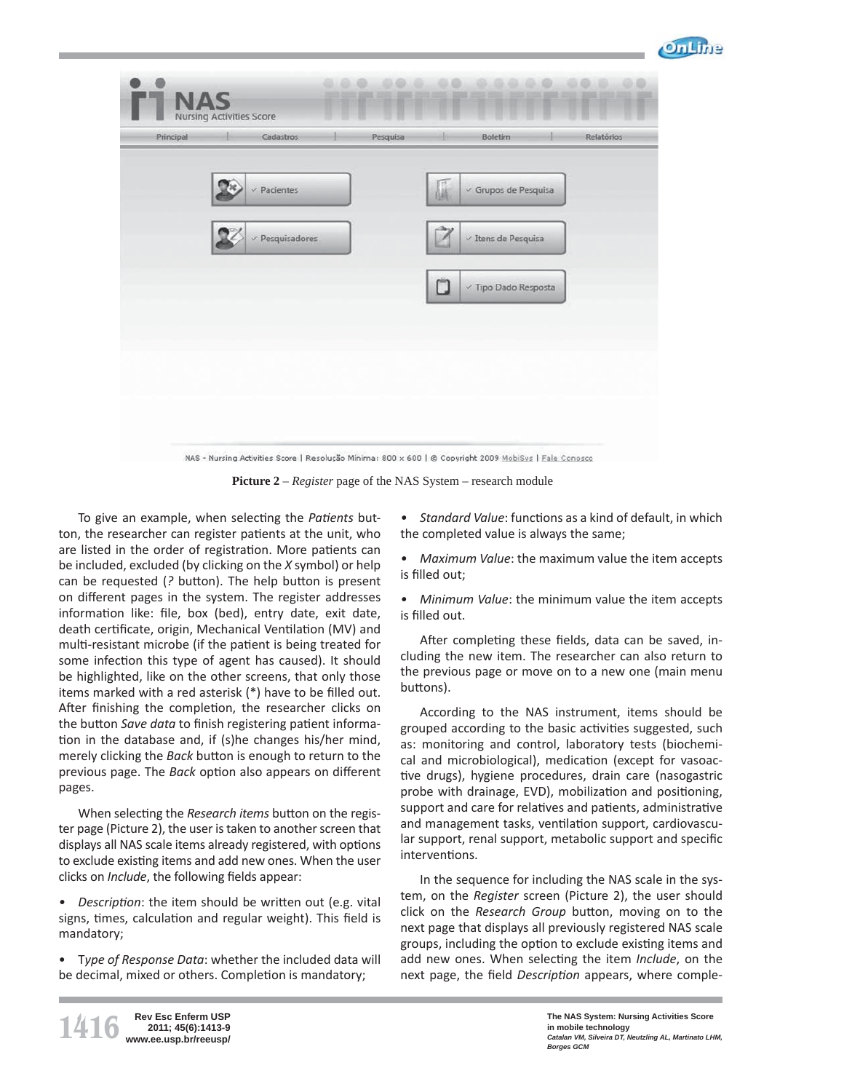

| Principal | Cadastros            | Pesquisa |   | Boletim                         | Relatórios |
|-----------|----------------------|----------|---|---------------------------------|------------|
|           | $\vee$ Pacientes     |          | I | $\vee$ Grupos de Pesquisa       |            |
|           | $\vee$ Pesquisadores |          | Ź | $\vee$ Itens de Pesquisa        |            |
|           |                      |          | Ü | $\checkmark$ Tipo Dado Resposta |            |
|           |                      |          |   |                                 |            |
|           |                      |          |   |                                 |            |

**Picture 2** – *Register* page of the NAS System – research module

To give an example, when selecting the *Patients* button, the researcher can register patients at the unit, who are listed in the order of registration. More patients can be included, excluded (by clicking on the *X* symbol) or help can be requested (? button). The help button is present on different pages in the system. The register addresses information like: file, box (bed), entry date, exit date, death certificate, origin, Mechanical Ventilation (MV) and multi-resistant microbe (if the patient is being treated for some infection this type of agent has caused). It should be highlighted, like on the other screens, that only those items marked with a red asterisk  $(*)$  have to be filled out. After finishing the completion, the researcher clicks on the button *Save data* to finish registering patient information in the database and, if (s)he changes his/her mind, merely clicking the *Back* button is enough to return to the previous page. The *Back* option also appears on different pages.

When selecting the *Research items* button on the register page (Picture 2), the user is taken to another screen that displays all NAS scale items already registered, with options to exclude existing items and add new ones. When the user clicks on *Include*, the following fields appear:

• Description: the item should be written out (e.g. vital signs, times, calculation and regular weight). This field is mandatory;

• T*ype of Response Data*: whether the included data will be decimal, mixed or others. Completion is mandatory;

• Standard Value: functions as a kind of default, in which the completed value is always the same;

*• Maximum Value*: the maximum value the item accepts is filled out;

*• Minimum Value*: the minimum value the item accepts is filled out.

After completing these fields, data can be saved, including the new item. The researcher can also return to the previous page or move on to a new one (main menu buttons).

According to the NAS instrument, items should be grouped according to the basic activities suggested, such as: monitoring and control, laboratory tests (biochemical and microbiological), medication (except for vasoactive drugs), hygiene procedures, drain care (nasogastric probe with drainage, EVD), mobilization and positioning, support and care for relatives and patients, administrative and management tasks, ventilation support, cardiovascular support, renal support, metabolic support and specific interventions.

In the sequence for including the NAS scale in the system, on the *Register* screen (Picture 2), the user should click on the *Research Group* button, moving on to the next page that displays all previously registered NAS scale groups, including the option to exclude existing items and add new ones. When selecting the item *Include*, on the next page, the field *Description* appears, where comple-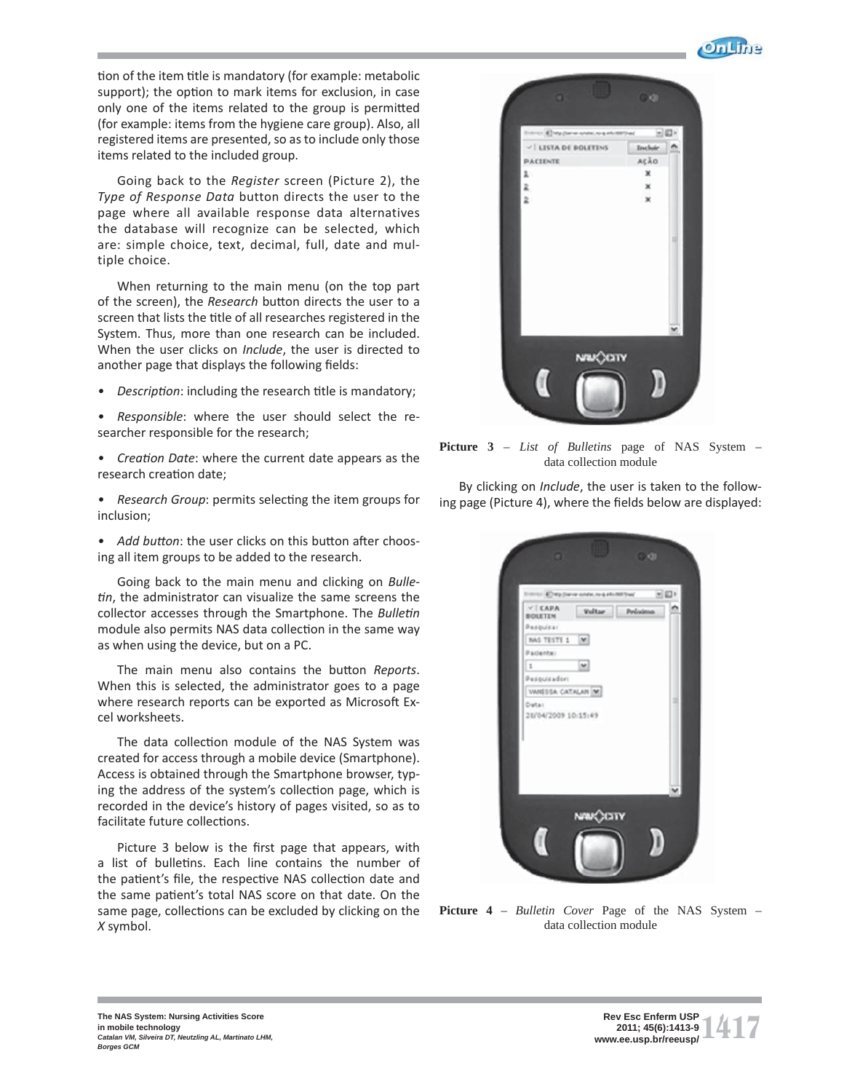

tion of the item title is mandatory (for example: metabolic support); the option to mark items for exclusion, in case only one of the items related to the group is permitted (for example: items from the hygiene care group). Also, all registered items are presented, so as to include only those items related to the included group.

Going back to the *Register* screen (Picture 2), the *Type of Response Data* button directs the user to the page where all available response data alternatives the database will recognize can be selected, which are: simple choice, text, decimal, full, date and multiple choice.

When returning to the main menu (on the top part of the screen), the *Research* button directs the user to a screen that lists the title of all researches registered in the System. Thus, more than one research can be included. When the user clicks on *Include*, the user is directed to another page that displays the following fields:

• Description: including the research title is mandatory;

*• Responsible*: where the user should select the researcher responsible for the research;

• Creation Date: where the current date appears as the research creation date;

• Research Group: permits selecting the item groups for inclusion;

• Add button: the user clicks on this button after choosing all item groups to be added to the research.

Going back to the main menu and clicking on *Bulletin*, the administrator can visualize the same screens the collector accesses through the Smartphone. The *Bulletin* module also permits NAS data collection in the same way as when using the device, but on a PC.

The main menu also contains the button *Reports*. When this is selected, the administrator goes to a page where research reports can be exported as Microsoft Excel worksheets.

The data collection module of the NAS System was created for access through a mobile device (Smartphone). Access is obtained through the Smartphone browser, typing the address of the system's collection page, which is recorded in the device's history of pages visited, so as to facilitate future collections.

Picture 3 below is the first page that appears, with a list of bulletins. Each line contains the number of the patient's file, the respective NAS collection date and the same patient's total NAS score on that date. On the same page, collections can be excluded by clicking on the *X* symbol.



**Picture 3** – *List of Bulletins* page of NAS System – data collection module

By clicking on *Include*, the user is taken to the following page (Picture 4), where the fields below are displayed:



**Picture 4** – *Bulletin Cover* Page of the NAS System – data collection module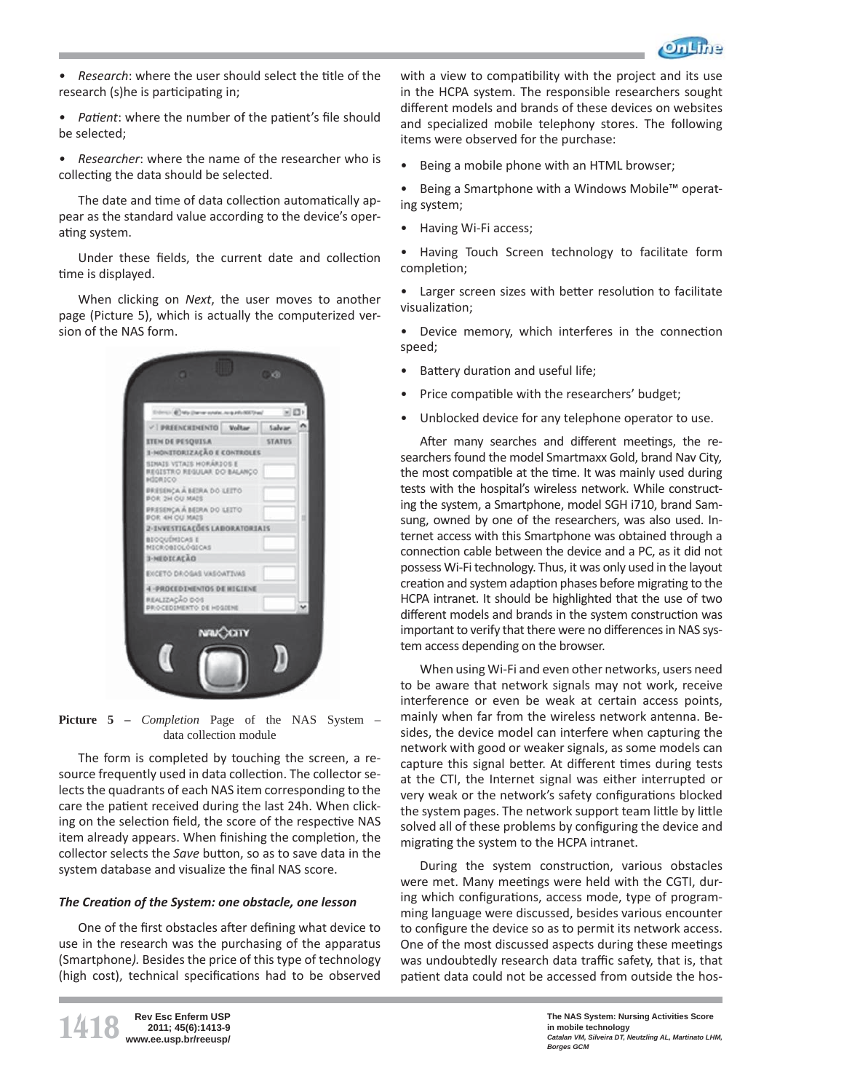

- *Research*: where the user should select the title of the research (s)he is participating in;
- Patient: where the number of the patient's file should be selected;
- *Researcher*: where the name of the researcher who is collecting the data should be selected.

The date and time of data collection automatically appear as the standard value according to the device's operating system.

Under these fields, the current date and collection time is displayed.

When clicking on *Next*, the user moves to another page (Picture 5), which is actually the computerized version of the NAS form.



**Picture 5 –** *Completion* Page of the NAS System – data collection module

The form is completed by touching the screen, a resource frequently used in data collection. The collector selects the quadrants of each NAS item corresponding to the care the patient received during the last 24h. When clicking on the selection field, the score of the respective NAS item already appears. When finishing the completion, the collector selects the *Save* button, so as to save data in the system database and visualize the final NAS score.

## *The Creati on of the System: one obstacle, one lesson*

One of the first obstacles after defining what device to use in the research was the purchasing of the apparatus (Smartphone*).* Besides the price of this type of technology (high cost), technical specifications had to be observed

with a view to compatibility with the project and its use in the HCPA system. The responsible researchers sought different models and brands of these devices on websites and specialized mobile telephony stores. The following items were observed for the purchase:

- Being a mobile phone with an HTML browser;
- Being a Smartphone with a Windows Mobile™ operating system;
- Having Wi-Fi access;

• Having Touch Screen technology to facilitate form completion;

- Larger screen sizes with better resolution to facilitate visualization;
- Device memory, which interferes in the connection speed;
- Battery duration and useful life;
- Price compatible with the researchers' budget;
- Unblocked device for any telephone operator to use.

After many searches and different meetings, the researchers found the model Smartmaxx Gold, brand Nav City*,* the most compatible at the time. It was mainly used during tests with the hospital's wireless network. While constructing the system, a Smartphone, model SGH i710, brand Samsung, owned by one of the researchers, was also used. Internet access with this Smartphone was obtained through a connection cable between the device and a PC, as it did not possess Wi-Fi technology. Thus, it was only used in the layout creation and system adaption phases before migrating to the HCPA intranet. It should be highlighted that the use of two different models and brands in the system construction was important to verify that there were no differences in NAS system access depending on the browser.

When using Wi-Fi and even other networks, users need to be aware that network signals may not work, receive interference or even be weak at certain access points, mainly when far from the wireless network antenna. Besides, the device model can interfere when capturing the network with good or weaker signals, as some models can capture this signal better. At different times during tests at the CTI, the Internet signal was either interrupted or very weak or the network's safety configurations blocked the system pages. The network support team little by little solved all of these problems by configuring the device and migrating the system to the HCPA intranet.

During the system construction, various obstacles were met. Many meetings were held with the CGTI, during which configurations, access mode, type of programming language were discussed, besides various encounter to configure the device so as to permit its network access. One of the most discussed aspects during these meetings was undoubtedly research data traffic safety, that is, that patient data could not be accessed from outside the hos-